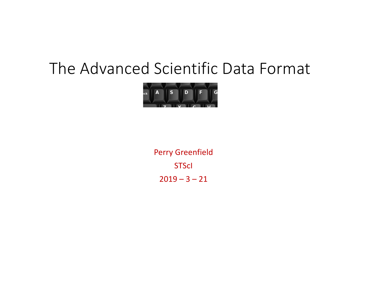## The Advanced Scientific Data Format



Perry Greenfield **STScI**  $2019 - 3 - 21$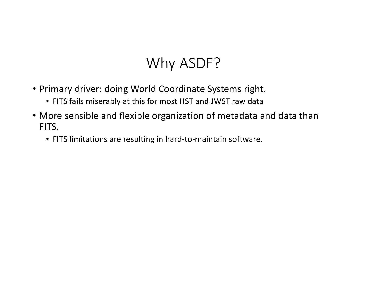## Why ASDF?

- Primary driver: doing World Coordinate Systems right.
	- FITS fails miserably at this for most HST and JWST raw data
- More sensible and flexible organization of metadata and data than FITS.
	- FITS limitations are resulting in hard-to-maintain software.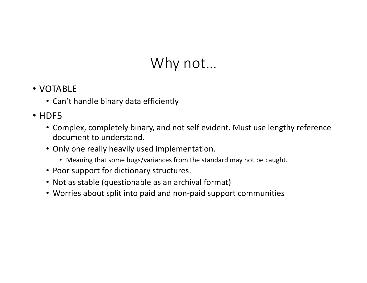## Why not…

- VOTABLE
	- Can't handle binary data efficiently

#### • HDF5

- Complex, completely binary, and not self evident. Must use lengthy reference document to understand.
- Only one really heavily used implementation.
	- Meaning that some bugs/variances from the standard may not be caught.
- Poor support for dictionary structures.
- Not as stable (questionable as an archival format)
- Worries about split into paid and non-paid support communities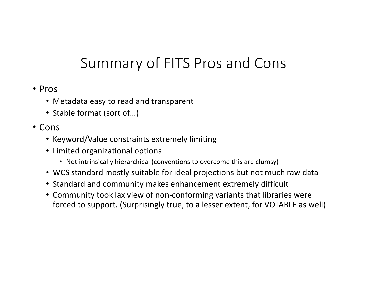## Summary of FITS Pros and Cons

- Pros
	- Metadata easy to read and transparent
	- Stable format (sort of…)
- Cons
	- Keyword/Value constraints extremely limiting
	- Limited organizational options
		- Not intrinsically hierarchical (conventions to overcome this are clumsy)
	- WCS standard mostly suitable for ideal projections but not much raw data
	- Standard and community makes enhancement extremely difficult
	- Community took lax view of non-conforming variants that libraries were forced to support. (Surprisingly true, to a lesser extent, for VOTABLE as well)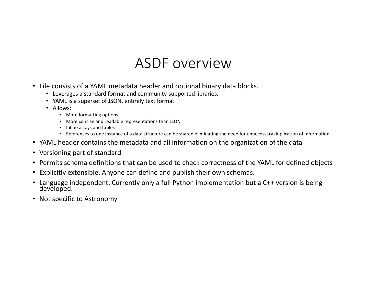#### ASDF overview

- File consists of a YAML metadata header and optional binary data blocks.
	- Leverages a standard format and community-supported libraries.
	- YAML is a superset of JSON, entirely text format
	- Allows:
		- More formatting options
		- More concise and readable representations than JSON
		- Inline arrays and tables
		- References to one instance of a data structure can be shared eliminating the need for unnecessary duplication of information
- YAML header contains the metadata and all information on the organization of the data
- Versioning part of standard
- Permits schema definitions that can be used to check correctness of the YAML for defined objects
- Explicitly extensible. Anyone can define and publish their own schemas.
- Language independent. Currently only a full Python implementation but a C++ version is being developed.
- Not specific to Astronomy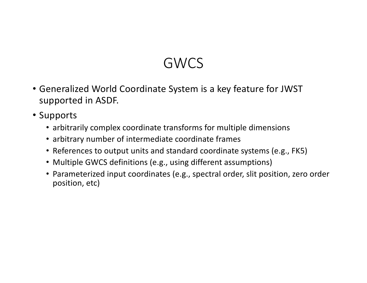## GWCS

- Generalized World Coordinate System is a key feature for JWST supported in ASDF.
- Supports
	- arbitrarily complex coordinate transforms for multiple dimensions
	- arbitrary number of intermediate coordinate frames
	- References to output units and standard coordinate systems (e.g., FK5)
	- Multiple GWCS definitions (e.g., using different assumptions)
	- Parameterized input coordinates (e.g., spectral order, slit position, zero order position, etc)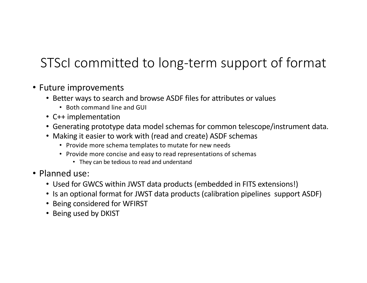### STScI committed to long-term support of format

- Future improvements
	- Better ways to search and browse ASDF files for attributes or values
		- Both command line and GUI
	- C++ implementation
	- Generating prototype data model schemas for common telescope/instrument data.
	- Making it easier to work with (read and create) ASDF schemas
		- Provide more schema templates to mutate for new needs
		- Provide more concise and easy to read representations of schemas
			- They can be tedious to read and understand
- Planned use:
	- Used for GWCS within JWST data products (embedded in FITS extensions!)
	- Is an optional format for JWST data products (calibration pipelines support ASDF)
	- Being considered for WFIRST
	- Being used by DKIST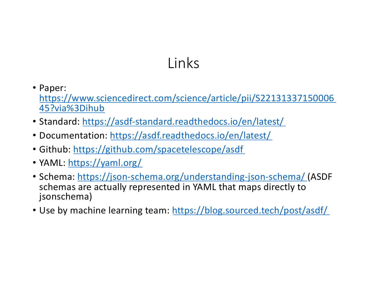# Links

- Paper: [https://www.sciencedirect.com/science/article/pii/S22131337150006](https://www.sciencedirect.com/science/article/pii/S2213133715000645?via%3Dihub) 45?via%3Dihub
- Standard[: https://asdf-standard.readthedocs.io/en/latest/](https://asdf-standard.readthedocs.io/en/latest/)
- Documentation[: https://asdf.readthedocs.io/en/latest/](https://asdf.readthedocs.io/en/latest/)
- Githu[b: https://github.com/spacetelescope/asd](https://github.com/spacetelescope/asdf)f
- YAM[L: https://yaml.org](https://yaml.org/)/
- Schem[a: https://json-schema.org/understanding-json-schema/](https://json-schema.org/understanding-json-schema/)(ASDF schemas are actually represented in YAML that maps directly to jsonschema)
- Use by machine learning team[: https://blog.sourced.tech/post/asdf/](https://blog.sourced.tech/post/asdf/)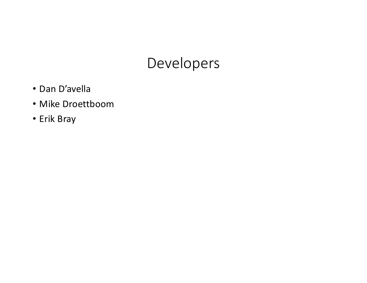### Developers

- Dan D'avella
- Mike Droettboom
- Erik Bray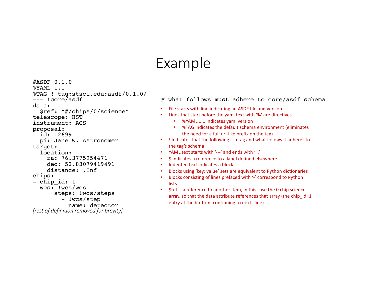#### Example

#ASDF 0.1.0 %YAML 1.1<br>%TAG ! tag:stsci.edu:asdf/0.1.0/ data: \$ref: "#/chips/0/science" telescope: HST instrument: ACS proposal: id: 12699 pi: Jane W. Astronomer target: location: ra: 76.3775954471 dec: 52.83079419491 distance: .Inf chips: - chip id: 1 wcs: !wcs/wcs steps: !wcs/steps - !wcs/step name: detector *[rest of definition removed for brevity]*

#### $---$  !core/asdf  $\overline{a}$   $\overline{b}$   $\overline{c}$   $\overline{a}$  and  $\overline{a}$  what follows must adhere to core/asdf schema

- File starts with line indicating an ASDF file and version
- Lines that start before the yaml text with '%' are directives
	- %YAML 1.1 indicates yaml version
	- %TAG indicates the default schema environment (eliminates the need for a full url-like prefix on the tag)
- ! Indicates that the following is a tag and what follows it adheres to the tag's schema
- YAML text starts with '---' and ends with '…'
- \$ indicates a reference to a label defined elsewhere
- Indented text indicates a block
- Blocks using 'key: value' sets are equivalent to Python dictionaries
- Blocks consisting of lines prefaced with '-' correspond to Python **lists**
- \$ref is a reference to another item, in this case the 0 chip science array, so that the data attribute references that array (the chip\_id: 1 entry at the bottom, continuing to next slide)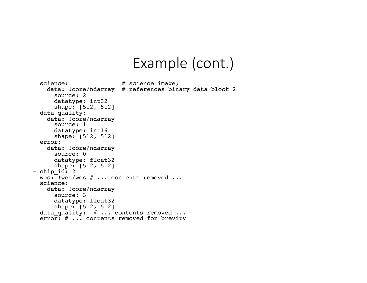#### Example (cont.)

```
science: # science image;
   data: !core/ndarray # references binary data block 2
      source: 2
     datatype: int32
      shape: [512, 512]
 data quality:
   data: !core/ndarray
      source: 1
     datatype: int16
      shape: [512, 512]
 error:
   data: !core/ndarray
     source: 0
     datatype: float32
shape: [512, 512]<br>- chip id: 2
 wcs: !wcs/wcs # ... contents removed ...
 science:
   data: !core/ndarray
      source: 3
     datatype: float32
      shape: [512, 512]
 data quality: # ... contents removed ...
 error: \# \ldots contents removed for brevity
```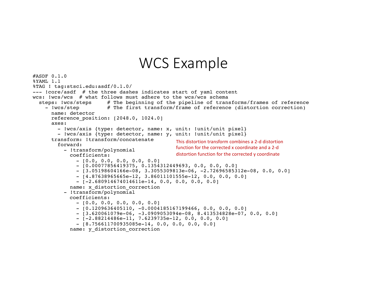#### WCS Example

```
#ASDF 0.1.0
%YAML 1.1
%TAG ! tag:stsci.edu:asdf/0.1.0/
--- !core/asdf # the three dashes indicates start of yaml content
wcs: !wcs/wcs # what follows must adhere to the wcs/wcs schema<br>steps: !wcs/steps # The beginning of the pipeline of transforms/frames of reference
  steps: !wcs/steps # The beginning of the pipeline of transforms/frames of reference - !wcs/step # The first transform/frame of reference (distortion correction)
       name: detector
       reference position: [2048.0, 1024.0]
       axes:
          - !wcs/axis {type: detector, name: x, unit: !unit/unit pixel}
          - !wcs/axis {type: detector, name: y, unit: !unit/unit pixel}
       transform: !transform/concatenate 
         forward:
            - !transform/polynomial
              coefficients:
                 - [0.0, 0.0, 0.0, 0.0, 0.0] - [0.00077856419375, 0.1354312449693, 0.0, 0.0, 0.0]
                 - [3.05198604166e-08, 3.3055309813e-06, -2.72696585312e-08, 0.0, 0.0]
                 - [4.87638965665e-12, 3.86011101555e-12, 0.0, 0.0, 0.0]
                 - [-2.680914674014611e-14, 0.0, 0.0, 0.0, 0.0]
              name: x distortion correction
            - !transform/polynomial
              coefficients:
                 - [0.0, 0.0, 0.0, 0.0, 0.0]- [0.1209636405110, -0.0004185167199466, 0.0, 0.0, 0.0]- [3.620061079e-06, -3.0909053094e-08, 8.413534828e-07, 0.0, 0.0]<br>- [-2.88214486e-11, 7.6239735e-12, 0.0, 0.0, 0.0]
                 - [8.756611700935085e-14, 0.0, 0.0, 0.0, 0.0]name: y_distortion_correction
                                                         This distortion transform combines a 2-d distortion 
                                                         function for the corrected x coordinate and a 2-d 
                                                         distortion function for the corrected y coordinate
```